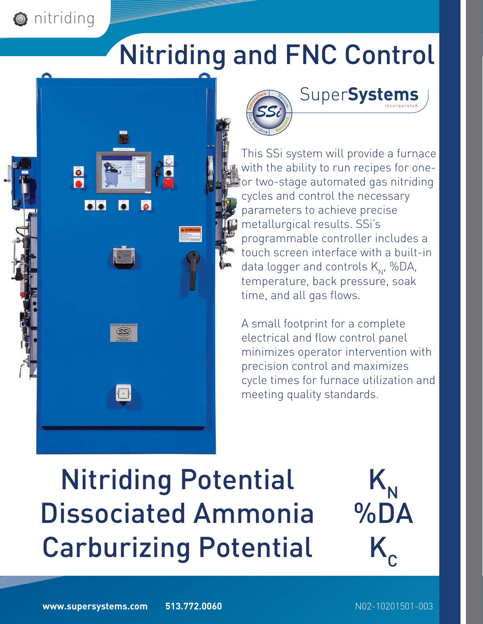# Nitriding and FNC Control

This SSi system will provide a furnace with the ability to run recipes for oneor two-stage automated gas nitriding

SuperSystems

cycles and control the necessary

programmable controller includes a touch screen interface with a built-in

data logger and controls  $K_{N}$ , %DA, temperature, back pressure, soak

A small footprint for a complete electrical and flow control panel

precision control and maximizes

meeting quality standards.

minimizes operator intervention with

cycle times for furnace utilization and

parameters to achieve precise

metallurgical results. SSi's

time, and all gas flows.





 $\mathcal{S}$ si

**O** nitriding

**P**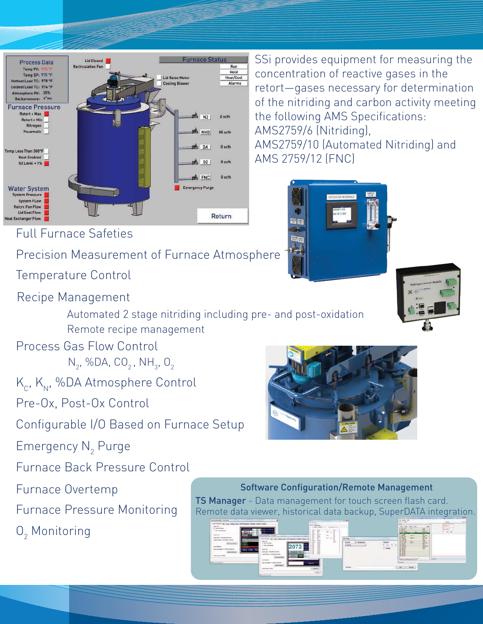

### Full Furnace Safeties

# Precision Measurement of Furnace Atmosphere

Temperature Control

#### Recipe Management

Automated 2 stage nitriding including pre- and post-oxidation Remote recipe management

#### Process Gas Flow Control

 $N_2$ , %DA, CO<sub>2</sub>, NH<sub>3</sub>, O<sub>2</sub>

# $K_{\alpha}$ ,  $K_{\text{N}}$ , %DA Atmosphere Control

Pre-Ox, Post-Ox Control

Configurable I/O Based on Furnace Setup

Emergency  $\mathsf{N}_2$  Purge

Furnace Back Pressure Control

Furnace Overtemp

Furnace Pressure Monitoring

 $O_2$  Monitoring

SSi provides equipment for measuring the concentration of reactive gases in the retort—gases necessary for determination of the nitriding and carbon activity meeting the following AMS Specifications: AMS2759/6 (Nitriding),

AMS2759/10 (Automated Nitriding) and AMS 2759/12 (FNC)







#### Software Configuration/Remote Management

**TS Manager** - Data management for touch screen flash card. Remote data viewer, historical data backup, SuperDATA integration.

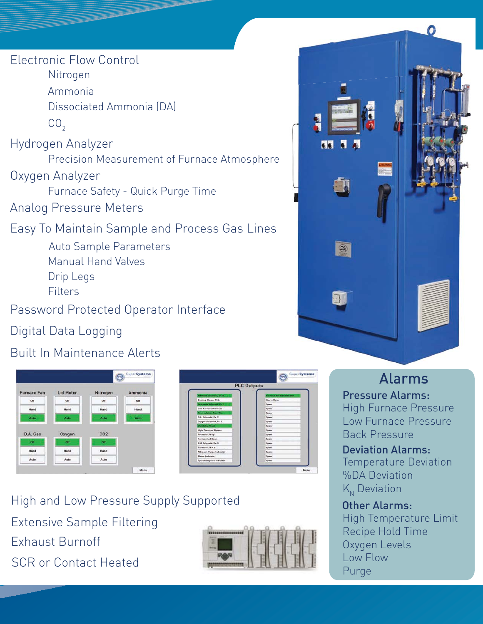Electronic Flow Control

Nitrogen

Ammonia

Dissociated Ammonia (DA)

 $CO<sub>2</sub>$ 

Hydrogen Analyzer

Precision Measurement of Furnace Atmosphere

Oxygen Analyzer

Furnace Safety - Quick Purge Time

Analog Pressure Meters

Easy To Maintain Sample and Process Gas Lines Precision Measurement of Furnace Atmosphere<br>| Analyzer<br>| Furnace Safety - Quick Purge Time<br>| Pressure Meters<br>| Maintain Sample and Process Gas Lines<br>| Auto Sample Parameters

Manual Hand Valves Drip Legs

**Filters** 

Password Protected Operator Interface

Digital Data Logging

Built In Maintenance Alerts





Extensive Sample Filtering Exhaust Burnoff High and Low Pressure Supply Supported SCR or Contact Heated





# Alarms

High Furnace Pressure Low Furnace Pressure Back Pressure Pressure Alarms:

Temperature Deviation %DA Deviation  $K_{N}$  Deviation Deviation Alarms:

#### High Temperature Limit Recipe Hold Time Oxygen Levels Low Flow Purge Other Alarms: